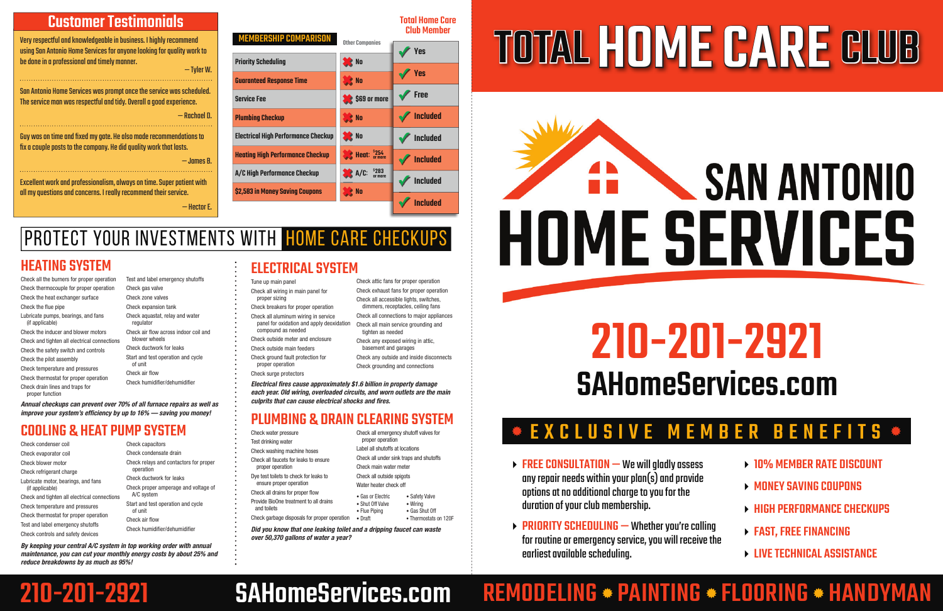#### Customer Testimonials

Very respectful and knowledgeable in business. I highly recommend using San Antonio Home Services for anyone looking for quality work to be done in a professional and timely manner. — Tyler W.

Guy was on time and fi xed my gate. He also made recommendations to fix a couple posts to the company. He did quality work that lasts.

San Antonio Home Services was prompt once the service was scheduled. The service man was respectful and tidy. Overall a good experience. — Rachael D.

- $\triangleright$  FREE CONSULTATION We will aladly assess any repair needs within your plan(s) and provide options at no additional charge to you for the duration of your club membership.
- $\rightarrow$  PRIORITY SCHEDULING Whether you're calling for routine or emergency service, you will receive the earliest available scheduling.

— James B.

### PROTECT YOUR INVESTMENTS WITH HOME CARE CHECKUPS

Excellent work and professionalism, always on time. Super patient with all my questions and concerns. I really recommend their service.

— Hector E.

#### EXCLUSIVE MEMBER BENEFITS



# SAN ANTONIO **HOME SERVICES**

- **10% MEMBER RATE DISCOUNT**
- MONEY SAVING COUPONS
- **EXAMPLE REPORMANCE CHECKUPS**
- FAST, FREE FINANCING
- **LIVE TECHNICAL ASSISTANCE**

## REMODELING \* PAINTING \* FLOORING \* HANDYMAN

Total Home Care Club Member

Priority Scheduling

Guaranteed Response Time

*Electrical fires cause approximately \$1.6 billion in property damage each year. Old wiring, overloaded circuits, and worn outlets are the main culprits that can cause electrical shocks and fi res.*

**se No** 

**se No** 

**se No** 

**se No** 

**SC** No

**S**\$69 or more

**XXX** Heat: <sup>\$254</sup><sub>or more</sub>

 $A/C:$   ${}^{52B3}_{\text{or more}}$ 

Service Fee

Plumbing Checkup

Electrical High Performance Checkup

IEMBERSHIP COMPARISO

Heating High Performance Checkup

A/C High Performance Checkup

\$2,583 in Money Saving Coupons

## 210-201-2921 SAHomeServices.com

## 210-201-2921 SAHomeServices.com

#### ELECTRICAL SYSTEM

- Tune up main panel
- Check all wiring in main panel for proper sizing
- Check breakers for proper operation
- Check all aluminum wiring in service panel for oxidation and apply deoxidation compound as needed
- Check outside meter and enclosure
- Check outside main feeders
- Check ground fault protection for proper operation
- Check surge protectors

Test and label emergency shutoffs Check gas valve Check zone valves Check expansion tank Check aquastat, relay and water regulator Check air flow across indoor coil and blower wheels Check ductwork for leaks Start and test operation and cycle of unit Check air flow Check humidifier/dehumidifier

*Annual checkups can prevent over 70% of all furnace repairs as well as improve your system's efficiency by up to 16% — saving you money!* 



- Check condenser coil Check evaporator coil Check blower motor Check refrigerant charge Lubricate motor, bearings, and fans (if applicable) Check and tighten all electrical connections Check temperature and pressures Check thermostat for proper operation Test and label emergency shutoffs Check controls and safety devices
- Check capacitors Check condensate drain Check relays and contactors for proper operation Check ductwork for leaks Check proper amperage and voltage of A/C system Start and test operation and cycle of unit Check air flow Check humidifier/dehumidifier

Check any exposed wiring in attic, basement and garages Check any outside and inside disconnects Check grounding and connections



#### PLUMBING & DRAIN CLEARING SYSTEM

- Check water pressure Test drinking water Check washing machine hoses Check all faucets for leaks to ensure proper operation Dye test toilets to check for leaks to
- ensure proper operation Check all drains for proper flow
- Provide BioOne treatment to all drains and toilets
- Check garbage disposals for proper operation

Check all emergency shutoff valves for

proper operation

Label all shutoffs at locations Check all under sink traps and shutoffs • Safety Valve • Wiring • Gas Shut Off

Check main water meter Check all outside spigots Water heater check off • Gas or Electric • Shut Off Valve • Flue Piping • Draft

• Thermostats on 120F

*Did you know that one leaking toilet and a dripping faucet can waste over 50,370 gallons of water a year?*

#### HEATING SYSTEM

Check all the burners for proper operation Check thermocouple for proper operation Check the heat exchanger surface Check the flue pipe Lubricate pumps, bearings, and fans (if applicable) Check the inducer and blower motors Check and tighten all electrical connections Check the safety switch and controls

Check the pilot assembly Check temperature and pressures Check thermostat for proper operation Check drain lines and traps for proper function

#### COOLING & HEAT PUMP SYSTEM

*By keeping your central A/C system in top working order with annual maintenance, you can cut your monthly energy costs by about 25% and reduce breakdowns by as much as 95%!*

**✓** Yes

**✓** Yes

**✓** Free

**✓** Included

**✓** Included

**✓** Included

**✓**  Included

**✓** Included